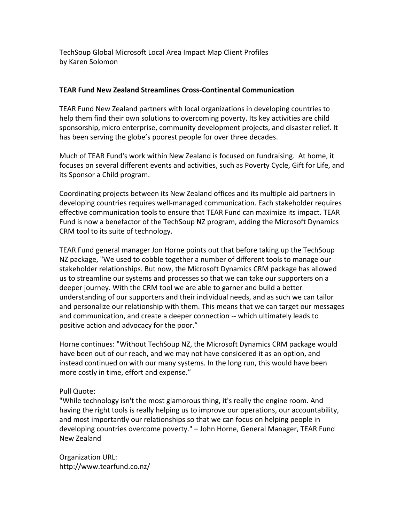TechSoup Global Microsoft Local Area Impact Map Client Profiles by Karen Solomon

## **TEAR Fund New Zealand Streamlines Cross-Continental Communication**

TEAR Fund New Zealand partners with local organizations in developing countries to help them find their own solutions to overcoming poverty. Its key activities are child sponsorship, micro enterprise, community development projects, and disaster relief. It has been serving the globe's poorest people for over three decades.

Much of TEAR Fund's work within New Zealand is focused on fundraising. At home, it focuses on several different events and activities, such as Poverty Cycle, Gift for Life, and its Sponsor a Child program.

Coordinating projects between its New Zealand offices and its multiple aid partners in developing countries requires well-managed communication. Each stakeholder requires effective communication tools to ensure that TEAR Fund can maximize its impact. TEAR Fund is now a benefactor of the TechSoup NZ program, adding the Microsoft Dynamics CRM tool to its suite of technology.

TEAR Fund general manager Jon Horne points out that before taking up the TechSoup NZ package, "We used to cobble together a number of different tools to manage our stakeholder relationships. But now, the Microsoft Dynamics CRM package has allowed us to streamline our systems and processes so that we can take our supporters on a deeper journey. With the CRM tool we are able to garner and build a better understanding of our supporters and their individual needs, and as such we can tailor and personalize our relationship with them. This means that we can target our messages and communication, and create a deeper connection -- which ultimately leads to positive action and advocacy for the poor."

Horne continues: "Without TechSoup NZ, the Microsoft Dynamics CRM package would have been out of our reach, and we may not have considered it as an option, and instead continued on with our many systems. In the long run, this would have been more costly in time, effort and expense."

# Pull Quote:

"While technology isn't the most glamorous thing, it's really the engine room. And having the right tools is really helping us to improve our operations, our accountability, and most importantly our relationships so that we can focus on helping people in developing countries overcome poverty." – John Horne, General Manager, TEAR Fund New Zealand

Organization URL: http://www.tearfund.co.nz/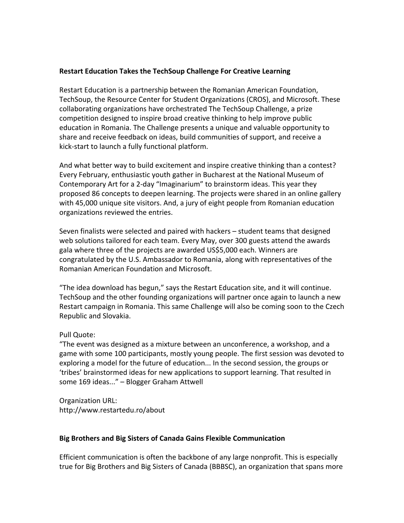## **Restart Education Takes the TechSoup Challenge For Creative Learning**

Restart Education is a partnership between the Romanian American Foundation, TechSoup, the Resource Center for Student Organizations (CROS), and Microsoft. These collaborating organizations have orchestrated The TechSoup Challenge, a prize competition designed to inspire broad creative thinking to help improve public education in Romania. The Challenge presents a unique and valuable opportunity to share and receive feedback on ideas, build communities of support, and receive a kick-start to launch a fully functional platform.

And what better way to build excitement and inspire creative thinking than a contest? Every February, enthusiastic youth gather in Bucharest at the National Museum of Contemporary Art for a 2-day "Imaginarium" to brainstorm ideas. This year they proposed 86 concepts to deepen learning. The projects were shared in an online gallery with 45,000 unique site visitors. And, a jury of eight people from Romanian education organizations reviewed the entries.

Seven finalists were selected and paired with hackers – student teams that designed web solutions tailored for each team. Every May, over 300 guests attend the awards gala where three of the projects are awarded US\$5,000 each. Winners are congratulated by the U.S. Ambassador to Romania, along with representatives of the Romanian American Foundation and Microsoft.

"The idea download has begun," says the Restart Education site, and it will continue. TechSoup and the other founding organizations will partner once again to launch a new Restart campaign in Romania. This same Challenge will also be coming soon to the Czech Republic and Slovakia.

### Pull Quote:

"The event was designed as a mixture between an unconference, a workshop, and a game with some 100 participants, mostly young people. The first session was devoted to exploring a model for the future of education... In the second session, the groups or 'tribes' brainstormed ideas for new applications to support learning. That resulted in some 169 ideas..." – Blogger Graham Attwell

Organization URL: http://www.restartedu.ro/about

# **Big Brothers and Big Sisters of Canada Gains Flexible Communication**

Efficient communication is often the backbone of any large nonprofit. This is especially true for Big Brothers and Big Sisters of Canada (BBBSC), an organization that spans more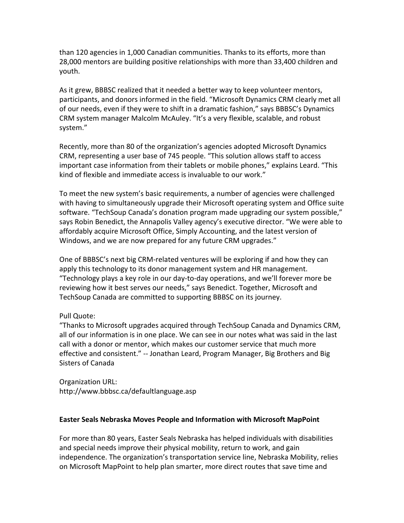than 120 agencies in 1,000 Canadian communities. Thanks to its efforts, more than 28,000 mentors are building positive relationships with more than 33,400 children and youth.

As it grew, BBBSC realized that it needed a better way to keep volunteer mentors, participants, and donors informed in the field. "Microsoft Dynamics CRM clearly met all of our needs, even if they were to shift in a dramatic fashion," says BBBSC's Dynamics CRM system manager Malcolm McAuley. "It's a very flexible, scalable, and robust system."

Recently, more than 80 of the organization's agencies adopted Microsoft Dynamics CRM, representing a user base of 745 people. "This solution allows staff to access important case information from their tablets or mobile phones," explains Leard. "This kind of flexible and immediate access is invaluable to our work."

To meet the new system's basic requirements, a number of agencies were challenged with having to simultaneously upgrade their Microsoft operating system and Office suite software. "TechSoup Canada's donation program made upgrading our system possible," says Robin Benedict, the Annapolis Valley agency's executive director. "We were able to affordably acquire Microsoft Office, Simply Accounting, and the latest version of Windows, and we are now prepared for any future CRM upgrades."

One of BBBSC's next big CRM-related ventures will be exploring if and how they can apply this technology to its donor management system and HR management. "Technology plays a key role in our day-to-day operations, and we'll forever more be reviewing how it best serves our needs," says Benedict. Together, Microsoft and TechSoup Canada are committed to supporting BBBSC on its journey.

### Pull Quote:

"Thanks to Microsoft upgrades acquired through TechSoup Canada and Dynamics CRM, all of our information is in one place. We can see in our notes what was said in the last call with a donor or mentor, which makes our customer service that much more effective and consistent." -- Jonathan Leard, Program Manager, Big Brothers and Big Sisters of Canada

Organization URL: http://www.bbbsc.ca/defaultlanguage.asp

### **Easter Seals Nebraska Moves People and Information with Microsoft MapPoint**

For more than 80 years, Easter Seals Nebraska has helped individuals with disabilities and special needs improve their physical mobility, return to work, and gain independence. The organization's transportation service line, Nebraska Mobility, relies on Microsoft MapPoint to help plan smarter, more direct routes that save time and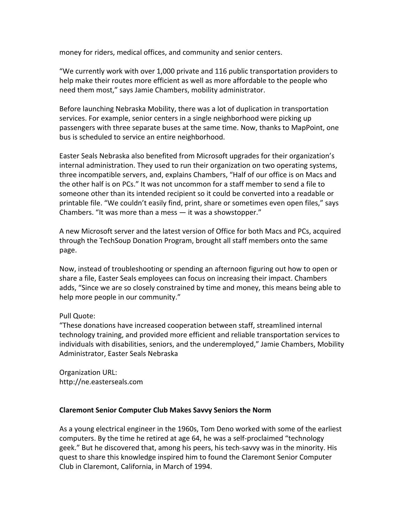money for riders, medical offices, and community and senior centers.

"We currently work with over 1,000 private and 116 public transportation providers to help make their routes more efficient as well as more affordable to the people who need them most," says Jamie Chambers, mobility administrator.

Before launching Nebraska Mobility, there was a lot of duplication in transportation services. For example, senior centers in a single neighborhood were picking up passengers with three separate buses at the same time. Now, thanks to MapPoint, one bus is scheduled to service an entire neighborhood.

Easter Seals Nebraska also benefited from Microsoft upgrades for their organization's internal administration. They used to run their organization on two operating systems, three incompatible servers, and, explains Chambers, "Half of our office is on Macs and the other half is on PCs." It was not uncommon for a staff member to send a file to someone other than its intended recipient so it could be converted into a readable or printable file. "We couldn't easily find, print, share or sometimes even open files," says Chambers. "It was more than a mess — it was a showstopper."

A new Microsoft server and the latest version of Office for both Macs and PCs, acquired through the TechSoup Donation Program, brought all staff members onto the same page.

Now, instead of troubleshooting or spending an afternoon figuring out how to open or share a file, Easter Seals employees can focus on increasing their impact. Chambers adds, "Since we are so closely constrained by time and money, this means being able to help more people in our community."

### Pull Quote:

"These donations have increased cooperation between staff, streamlined internal technology training, and provided more efficient and reliable transportation services to individuals with disabilities, seniors, and the underemployed," Jamie Chambers, Mobility Administrator, Easter Seals Nebraska

Organization URL: http://ne.easterseals.com

### **Claremont Senior Computer Club Makes Savvy Seniors the Norm**

As a young electrical engineer in the 1960s, Tom Deno worked with some of the earliest computers. By the time he retired at age 64, he was a self-proclaimed "technology geek." But he discovered that, among his peers, his tech-savvy was in the minority. His quest to share this knowledge inspired him to found the Claremont Senior Computer Club in Claremont, California, in March of 1994.